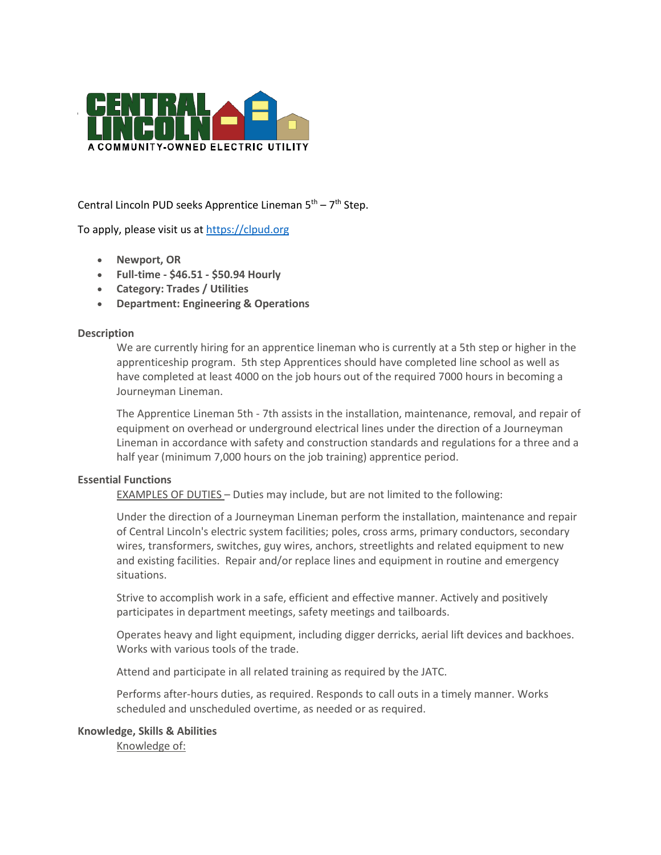

Central Lincoln PUD seeks Apprentice Lineman 5<sup>th</sup> – 7<sup>th</sup> Step.

To apply, please visit us at [https://clpud.org](https://clpud.org/)

- **Newport, OR**
- **Full-time - \$46.51 - \$50.94 Hourly**
- **Category: Trades / Utilities**
- **Department: Engineering & Operations**

### **Description**

We are currently hiring for an apprentice lineman who is currently at a 5th step or higher in the apprenticeship program. 5th step Apprentices should have completed line school as well as have completed at least 4000 on the job hours out of the required 7000 hours in becoming a Journeyman Lineman.

The Apprentice Lineman 5th - 7th assists in the installation, maintenance, removal, and repair of equipment on overhead or underground electrical lines under the direction of a Journeyman Lineman in accordance with safety and construction standards and regulations for a three and a half year (minimum 7,000 hours on the job training) apprentice period.

### **Essential Functions**

EXAMPLES OF DUTIES – Duties may include, but are not limited to the following:

Under the direction of a Journeyman Lineman perform the installation, maintenance and repair of Central Lincoln's electric system facilities; poles, cross arms, primary conductors, secondary wires, transformers, switches, guy wires, anchors, streetlights and related equipment to new and existing facilities. Repair and/or replace lines and equipment in routine and emergency situations.

Strive to accomplish work in a safe, efficient and effective manner. Actively and positively participates in department meetings, safety meetings and tailboards.

Operates heavy and light equipment, including digger derricks, aerial lift devices and backhoes. Works with various tools of the trade.

Attend and participate in all related training as required by the JATC.

Performs after-hours duties, as required. Responds to call outs in a timely manner. Works scheduled and unscheduled overtime, as needed or as required.

### **Knowledge, Skills & Abilities**

Knowledge of: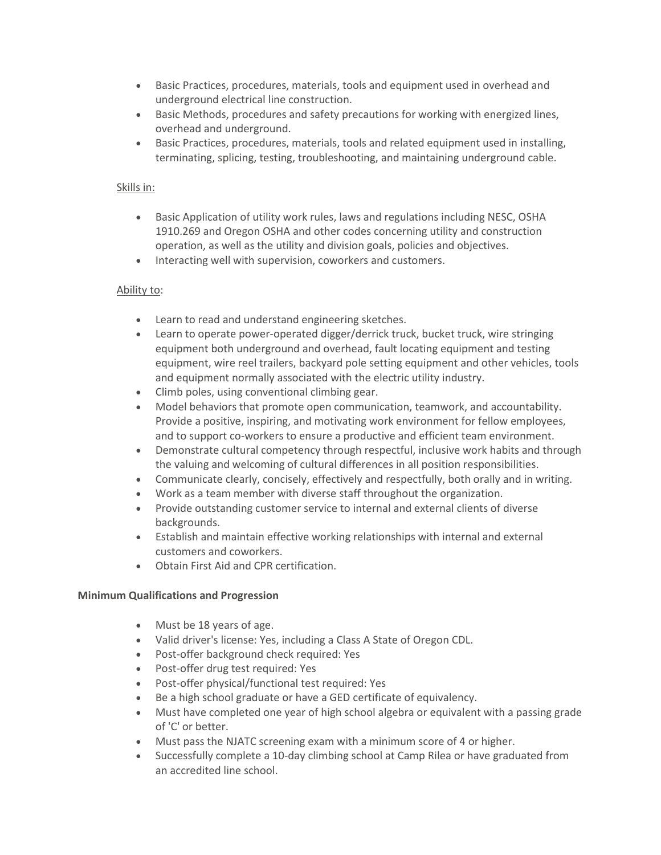- Basic Practices, procedures, materials, tools and equipment used in overhead and underground electrical line construction.
- Basic Methods, procedures and safety precautions for working with energized lines, overhead and underground.
- Basic Practices, procedures, materials, tools and related equipment used in installing, terminating, splicing, testing, troubleshooting, and maintaining underground cable.

## Skills in:

- Basic Application of utility work rules, laws and regulations including NESC, OSHA 1910.269 and Oregon OSHA and other codes concerning utility and construction operation, as well as the utility and division goals, policies and objectives.
- Interacting well with supervision, coworkers and customers.

### Ability to:

- Learn to read and understand engineering sketches.
- Learn to operate power-operated digger/derrick truck, bucket truck, wire stringing equipment both underground and overhead, fault locating equipment and testing equipment, wire reel trailers, backyard pole setting equipment and other vehicles, tools and equipment normally associated with the electric utility industry.
- Climb poles, using conventional climbing gear.
- Model behaviors that promote open communication, teamwork, and accountability. Provide a positive, inspiring, and motivating work environment for fellow employees, and to support co-workers to ensure a productive and efficient team environment.
- Demonstrate cultural competency through respectful, inclusive work habits and through the valuing and welcoming of cultural differences in all position responsibilities.
- Communicate clearly, concisely, effectively and respectfully, both orally and in writing.
- Work as a team member with diverse staff throughout the organization.
- Provide outstanding customer service to internal and external clients of diverse backgrounds.
- Establish and maintain effective working relationships with internal and external customers and coworkers.
- Obtain First Aid and CPR certification.

### **Minimum Qualifications and Progression**

- Must be 18 years of age.
- Valid driver's license: Yes, including a Class A State of Oregon CDL.
- Post-offer background check required: Yes
- Post-offer drug test required: Yes
- Post-offer physical/functional test required: Yes
- Be a high school graduate or have a GED certificate of equivalency.
- Must have completed one year of high school algebra or equivalent with a passing grade of 'C' or better.
- Must pass the NJATC screening exam with a minimum score of 4 or higher.
- Successfully complete a 10-day climbing school at Camp Rilea or have graduated from an accredited line school.